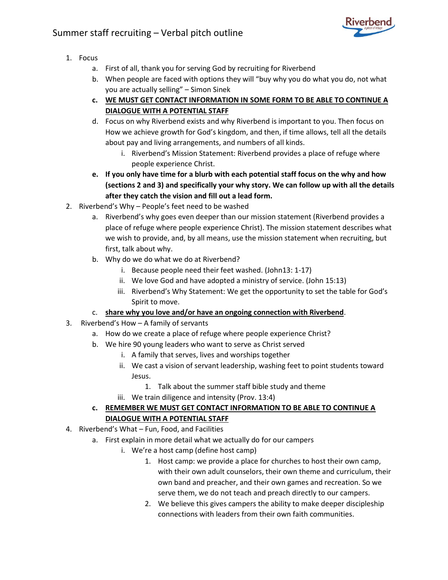

- 1. Focus
	- a. First of all, thank you for serving God by recruiting for Riverbend
	- b. When people are faced with options they will "buy why you do what you do, not what you are actually selling" – Simon Sinek
	- **c. WE MUST GET CONTACT INFORMATION IN SOME FORM TO BE ABLE TO CONTINUE A DIALOGUE WITH A POTENTIAL STAFF**
	- d. Focus on why Riverbend exists and why Riverbend is important to you. Then focus on How we achieve growth for God's kingdom, and then, if time allows, tell all the details about pay and living arrangements, and numbers of all kinds.
		- i. Riverbend's Mission Statement: Riverbend provides a place of refuge where people experience Christ.
	- **e. If you only have time for a blurb with each potential staff focus on the why and how (sections 2 and 3) and specifically your why story. We can follow up with all the details after they catch the vision and fill out a lead form.**
- 2. Riverbend's Why People's feet need to be washed
	- a. Riverbend's why goes even deeper than our mission statement (Riverbend provides a place of refuge where people experience Christ). The mission statement describes what we wish to provide, and, by all means, use the mission statement when recruiting, but first, talk about why.
	- b. Why do we do what we do at Riverbend?
		- i. Because people need their feet washed. (John13: 1-17)
		- ii. We love God and have adopted a ministry of service. (John 15:13)
		- iii. Riverbend's Why Statement: We get the opportunity to set the table for God's Spirit to move.

## c. **share why you love and/or have an ongoing connection with Riverbend**.

- 3. Riverbend's How A family of servants
	- a. How do we create a place of refuge where people experience Christ?
	- b. We hire 90 young leaders who want to serve as Christ served
		- i. A family that serves, lives and worships together
		- ii. We cast a vision of servant leadership, washing feet to point students toward Jesus.
			- 1. Talk about the summer staff bible study and theme
		- iii. We train diligence and intensity (Prov. 13:4)

## **c. REMEMBER WE MUST GET CONTACT INFORMATION TO BE ABLE TO CONTINUE A DIALOGUE WITH A POTENTIAL STAFF**

- 4. Riverbend's What Fun, Food, and Facilities
	- a. First explain in more detail what we actually do for our campers
		- i. We're a host camp (define host camp)
			- 1. Host camp: we provide a place for churches to host their own camp, with their own adult counselors, their own theme and curriculum, their own band and preacher, and their own games and recreation. So we serve them, we do not teach and preach directly to our campers.
			- 2. We believe this gives campers the ability to make deeper discipleship connections with leaders from their own faith communities.